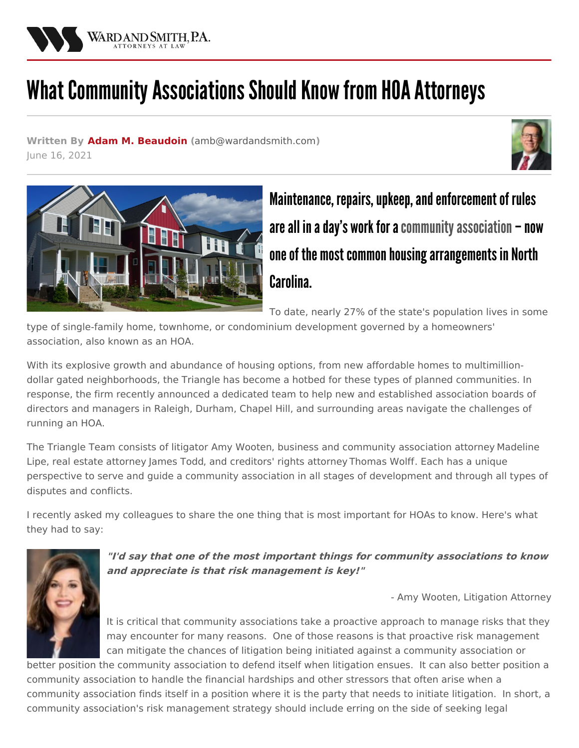

## What Community Associations Should Know from HOA Attorneys

**Written By Adam M. [Beaudoin](/attorneys/adam-beaudoin) (**[amb@wardandsmith.com](mailto:amb@wardandsmith.com)**)** June 16, 2021





Maintenance, repairs, upkeep, and enforcement of rules are all in a day's work for a community association  $-$  now one of the most common housing arrangements in North Carolina.

To date, nearly 27% of the state's population lives in some

type of single-family home, townhome, or condominium development governed by a homeowners' association, also known as an HOA.

With its explosive growth and abundance of housing options, from new affordable homes to multimilliondollar gated neighborhoods, the Triangle has become a hotbed for these types of planned communities. In response, the firm recently [announced](/news/introducing-ward-and-smiths-triangle-community-associations-team) a dedicated team to help new and established association boards of directors and managers in Raleigh, Durham, Chapel Hill, and surrounding areas navigate the challenges of running an HOA.

The Triangle Team consists of litigator Amy [Wooten](/attorneys/amy-wooten), business and [community](/attorneys/madeline-lipe) association attorney Madeline Lipe, real estate attorney [James](/attorneys/james-todd) Todd, and creditors' rights attorney [Thomas](/attorneys/thomas-wolff) Wolff. Each has a unique perspective to serve and guide a community association in all stages of development and through all types of disputes and conflicts.

I recently asked my colleagues to share the one thing that is most important for HOAs to know. Here's what they had to say:



**"I'd say that one of the most important things for community associations to know and appreciate is that risk management is key!"**

- Amy [Wooten](/attorneys/amy-wooten), Litigation Attorney

It is critical that community associations take a proactive approach to manage risks that they may encounter for many reasons. One of those reasons is that proactive risk management can mitigate the chances of litigation being initiated against a community association or

better position the community association to defend itself when litigation ensues. It can also better position a community association to handle the financial hardships and other stressors that often arise when a community association finds itself in a position where it is the party that needs to initiate litigation. In short, a community association's risk management strategy should include erring on the side of seeking legal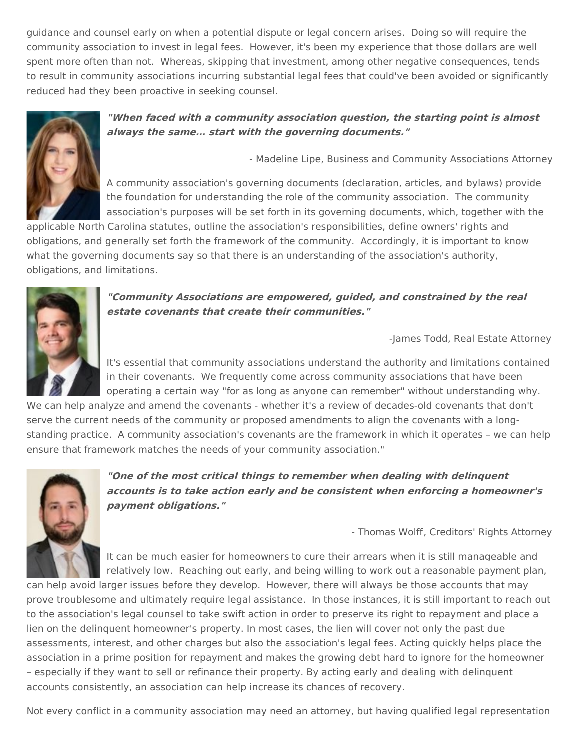guidance and counsel early on when a potential dispute or legal concern arises. Doing so will require the community association to invest in legal fees. However, it's been my experience that those dollars are well spent more often than not. Whereas, skipping that investment, among other negative consequences, tends to result in community associations incurring substantial legal fees that could've been avoided or significantly reduced had they been proactive in seeking counsel.



## **"When faced with <sup>a</sup> community association question, the starting point is almost always the same… start with the governing documents."**

- [Madeline](/attorneys/madeline-lipe) Lipe, Business and Community Associations Attorney

A community association's governing documents (declaration, articles, and bylaws) provide the foundation for understanding the role of the community association. The community association's purposes will be set forth in its governing documents, which, together with the

applicable North Carolina statutes, outline the association's responsibilities, define owners' rights and obligations, and generally set forth the framework of the community. Accordingly, it is important to know what the governing documents say so that there is an understanding of the association's authority, obligations, and limitations.



**"Community Associations are empowered, guided, and constrained by the real estate covenants that create their communities."**

-James Todd, Real Estate Attorney

It's essential that community associations understand the authority and limitations contained in their covenants. We frequently come across community associations that have been operating a certain way "for as long as anyone can remember" without understanding why.

We can help analyze and amend the covenants - whether it's a review of decades-old covenants that don't serve the current needs of the community or proposed amendments to align the covenants with a longstanding practice. A community association's covenants are the framework in which it operates – we can help ensure that framework matches the needs of your community association."



**"One of the most critical things to remember when dealing with delinquent accounts is to take action early and be consistent when enforcing <sup>a</sup> homeowner's payment obligations."**

- [Thomas](/attorneys/thomas-wolff) Wolff, Creditors' Rights Attorney

It can be much easier for homeowners to cure their arrears when it is still manageable and relatively low. Reaching out early, and being willing to work out a reasonable payment plan,

can help avoid larger issues before they develop. However, there will always be those accounts that may prove troublesome and ultimately require legal assistance. In those instances, it is still important to reach out to the association's legal counsel to take swift action in order to preserve its right to repayment and place a lien on the delinquent homeowner's property. In most cases, the lien will cover not only the past due assessments, interest, and other charges but also the association's legal fees. Acting quickly helps place the association in a prime position for repayment and makes the growing debt hard to ignore for the homeowner – especially if they want to sell or refinance their property. By acting early and dealing with delinquent accounts consistently, an association can help increase its chances of recovery.

Not every conflict in a community association may need an attorney, but having qualified legal representation